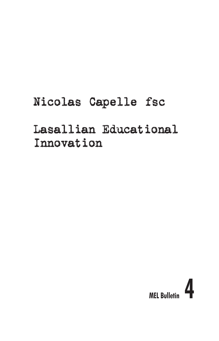# Nicolas Capelle fsc

## Lasallian Educational Innovation

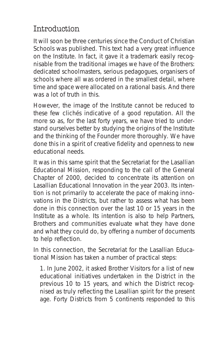#### Introduction

It will soon be three centuries since the Conduct of Christian Schools was published. This text had a very great influence on the Institute. In fact, it gave it a trademark easily recognisable from the traditional images we have of the Brothers: dedicated schoolmasters, serious pedagogues, organisers of schools where all was ordered in the smallest detail, where time and space were allocated on a rational basis. And there was a lot of truth in this.

However, the image of the Institute cannot be reduced to these few clichés indicative of a good reputation. All the more so as, for the last forty years, we have tried to understand ourselves better by studying the origins of the Institute and the thinking of the Founder more thoroughly. We have done this in a spirit of creative fidelity and openness to new educational needs.

It was in this same spirit that the Secretariat for the Lasallian Educational Mission, responding to the call of the General Chapter of 2000, decided to concentrate its attention on Lasallian Educational Innovation in the year 2003. Its intention is not primarily to accelerate the pace of making innovations in the Districts, but rather to assess what has been done in this connection over the last 10 or 15 years in the Institute as a whole. Its intention is also to help Partners, Brothers and communities evaluate what they have done and what they could do, by offering a number of documents to help reflection.

In this connection, the Secretariat for the Lasallian Educational Mission has taken a number of practical steps:

1. In June 2002, it asked Brother Visitors for a list of new educational initiatives undertaken in the District in the previous 10 to 15 years, and which the District recognised as truly reflecting the Lasallian spirit for the present age. Forty Districts from 5 continents responded to this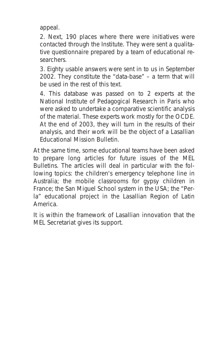appeal.

2. Next, 190 places where there were initiatives were contacted through the Institute. They were sent a qualitative questionnaire prepared by a team of educational researchers.

3. Eighty usable answers were sent in to us in September 2002. They constitute the "data-base" – a term that will be used in the rest of this text.

4. This database was passed on to 2 experts at the National Institute of Pedagogical Research in Paris who were asked to undertake a comparative scientific analysis of the material. These experts work mostly for the OCDE. At the end of 2003, they will turn in the results of their analysis, and their work will be the object of a Lasallian Educational Mission Bulletin.

At the same time, some educational teams have been asked to prepare long articles for future issues of the MEL Bulletins. The articles will deal in particular with the following topics: the children's emergency telephone line in Australia; the mobile classrooms for gypsy children in France; the San Miguel School system in the USA; the "Perla" educational project in the Lasallian Region of Latin America.

It is within the framework of Lasallian innovation that the MEL Secretariat gives its support.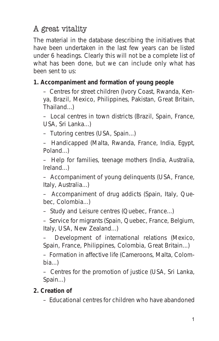### A great vitality

The material in the database describing the initiatives that have been undertaken in the last few years can be listed under 6 headings. Clearly this will not be a complete list of what has been done, but we can include only what has been sent to us:

#### **1. Accompaniment and formation of young people**

– Centres for street children (Ivory Coast, Rwanda, Kenya, Brazil, Mexico, Philippines, Pakistan, Great Britain, Thailand...)

– Local centres in town districts (Brazil, Spain, France, USA, Sri Lanka...)

– Tutoring centres (USA, Spain...)

– Handicapped (Malta, Rwanda, France, India, Egypt, Poland...)

– Help for families, teenage mothers (India, Australia, Ireland...)

– Accompaniment of young delinquents (USA, France, Italy, Australia...)

– Accompaniment of drug addicts (Spain, Italy, Quebec, Colombia...)

– Study and Leisure centres (Quebec, France...)

– Service for migrants (Spain, Quebec, France, Belgium, Italy, USA, New Zealand...)

– Development of international relations (Mexico, Spain, France, Philippines, Colombia, Great Britain...)

– Formation in affective life (Cameroons, Malta, Colombia...)

– Centres for the promotion of justice (USA, Sri Lanka, Spain...)

#### **2. Creation of**

– Educational centres for children who have abandoned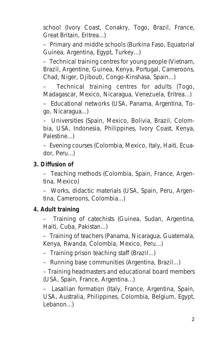school (Ivory Coast, Conakry, Togo, Brazil, France, Great Britain, Eritrea...)

– Primary and middle schools (Burkina Faso, Equatorial Guinea, Argentina, Egypt, Turkey...)

– Technical training centres for young people (Vietnam, Brazil, Argentine, Guinea, Kenya, Portugal, Cameroons, Chad, Niger, Djibouti, Congo-Kinshasa, Spain...)

– Technical training centres for adults (Togo, Madagascar, Mexico, Nicaragua, Venezuela, Eritrea...)

– Educational networks (USA, Panama, Argentina, Togo, Nicaragua...)

– Universities (Spain, Mexico, Bolivia, Brazil, Colombia, USA, Indonesia, Philippines, Ivory Coast, Kenya, Palestine...)

– Evening courses (Colombia, Mexico, Italy, Haiti, Ecuador, Peru...)

#### **3. Diffusion of**

– Teaching methods (Colombia, Spain, France, Argentina, Mexico)

– Works, didactic materials (USA, Spain, Peru, Argentina, Cameroons, Colombia...)

#### **4. Adult training**

– Training of catechists (Guinea, Sudan, Argentina, Haiti, Cuba, Pakistan...)

– Training of teachers (Panama, Nicaragua, Guatemala, Kenya, Rwanda, Colombia, Mexico, Peru...)

– Training prison teaching staff (Brazil...)

– Running base communities (Argentina, Brazil...)

– Training headmasters and educational board members (USA, Spain, France, Argentina...)

– Lasallian formation (Italy, France, Argentina, Spain, USA, Australia, Philippines, Colombia, Belgium, Egypt, Lebanon...)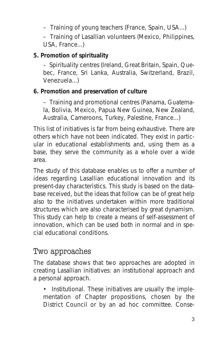– Training of young teachers (France, Spain, USA...)

– Training of Lasallian volunteers (Mexico, Philippines, USA, France...)

#### **5. Promotion of spirituality**

– Spirituality centres (Ireland, Great Britain, Spain, Quebec, France, Sri Lanka, Australia, Switzerland, Brazil, Venezuela...)

#### **6. Promotion and preservation of culture**

– Training and promotional centres (Panama, Guatemala, Bolivia, Mexico, Papua New Guinea, New Zealand, Australia, Cameroons, Turkey, Palestine, France...)

This list of initiatives is far from being exhaustive. There are others which have not been indicated. They exist in particular in educational establishments and, using them as a base, they serve the community as a whole over a wide area.

The study of this database enables us to offer a number of ideas regarding Lasallian educational innovation and its present-day characteristics. This study is based on the database received, but the ideas that follow can be of great help also to the initiatives undertaken within more traditional structures which are also characterised by great dynamism. This study can help to create a means of self-assessment of innovation, which can be used both in normal and in special educational conditions.

#### Two approaches

The database shows that two approaches are adopted in creating Lasallian initiatives: an institutional approach and a personal approach.

• Institutional. These initiatives are usually the implementation of Chapter propositions, chosen by the District Council or by an ad hoc committee. Conse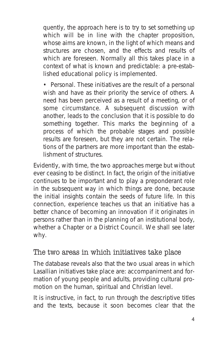quently, the approach here is to try to set something up which will be in line with the chapter proposition, whose aims are known, in the light of which means and structures are chosen, and the effects and results of which are foreseen. Normally all this takes place in a context of what is known and predictable: a pre-established educational policy is implemented.

• Personal. These initiatives are the result of a personal wish and have as their priority the service of others. A need has been perceived as a result of a meeting, or of some circumstance. A subsequent discussion with another, leads to the conclusion that it is possible to do something together. This marks the beginning of a process of which the probable stages and possible results are foreseen, but they are not certain. The relations of the partners are more important than the establishment of structures.

Evidently, with time, the two approaches merge but without ever ceasing to be distinct. In fact, the origin of the initiative continues to be important and to play a preponderant role in the subsequent way in which things are done, because the initial insights contain the seeds of future life. In this connection, experience teaches us that an initiative has a better chance of becoming an innovation if it originates in persons rather than in the planning of an institutional body, whether a Chapter or a District Council. We shall see later why.

#### The two areas in which initiatives take place

The database reveals also that the two usual areas in which Lasallian initiatives take place are: accompaniment and formation of young people and adults, providing cultural promotion on the human, spiritual and Christian level.

It is instructive, in fact, to run through the descriptive titles and the texts, because it soon becomes clear that the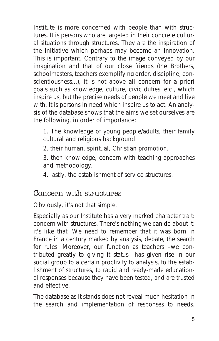Institute is more concerned with people than with structures. It is persons who are targeted in their concrete cultural situations through structures. They are the inspiration of the initiative which perhaps may become an innovation. This is important. Contrary to the image conveyed by our imagination and that of our close friends (the Brothers, schoolmasters, teachers exemplifying order, discipline, conscientiousness...), it is not above all concern for a priori goals such as knowledge, culture, civic duties, etc., which inspire us, but the precise needs of people we meet and live with. It is persons in need which inspire us to act. An analysis of the database shows that the aims we set ourselves are the following, in order of importance:

- 1. The knowledge of young people/adults, their family cultural and religious background.
- 2. their human, spiritual, Christian promotion.
- 3. then knowledge, concern with teaching approaches and methodology.
- 4. lastly, the establishment of service structures.

#### Concern with structures

Obviously, it's not that simple.

Especially as our Institute has a very marked character trait: concern with structures. There's nothing we can do about it: it's like that. We need to remember that it was born in France in a century marked by analysis, debate, the search for rules. Moreover, our function as teachers –we contributed greatly to giving it status– has given rise in our social group to a certain proclivity to analysis, to the establishment of structures, to rapid and ready-made educational responses because they have been tested, and are trusted and effective.

The database as it stands does not reveal much hesitation in the search and implementation of responses to needs.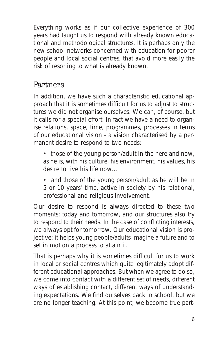Everything works as if our collective experience of 300 years had taught us to respond with already known educational and methodological structures. It is perhaps only the new school networks concerned with education for poorer people and local social centres, that avoid more easily the risk of resorting to what is already known.

#### **Partners**

In addition, we have such a characteristic educational approach that it is sometimes difficult for us to adjust to structures we did not organise ourselves. We can, of course, but it calls for a special effort. In fact we have a need to organise relations, space, time, programmes, processes in terms of our educational vision - a vision characterised by a permanent desire to respond to two needs:

- those of the young person/adult in the here and now, as he is, with his culture, his environment, his values, his desire to live his life now...
- and those of the young person/adult as he will be in 5 or 10 years' time, active in society by his relational, professional and religious involvement.

Our desire to respond is always directed to these two moments: today and tomorrow, and our structures also try to respond to their needs. In the case of conflicting interests, we always opt for tomorrow. Our educational vision is projective: it helps young people/adults imagine a future and to set in motion a process to attain it.

That is perhaps why it is sometimes difficult for us to work in local or social centres which quite legitimately adopt different educational approaches. But when we agree to do so, we come into contact with a different set of needs, different ways of establishing contact, different ways of understanding expectations. We find ourselves back in school, but we are no longer teaching. At this point, we become true part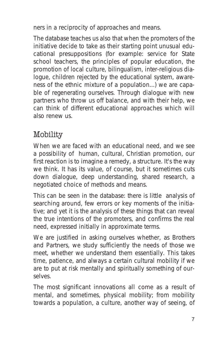ners in a reciprocity of approaches and means.

The database teaches us also that when the promoters of the initiative decide to take as their starting point unusual educational presuppositions (for example: service for State school teachers, the principles of popular education, the promotion of local culture, bilingualism, inter-religious dialogue, children rejected by the educational system, awareness of the ethnic mixture of a population...) we are capable of regenerating ourselves. Through dialogue with new partners who throw us off balance, and with their help, we can think of different educational approaches which will also renew us.

## Mobility

When we are faced with an educational need, and we see a possibility of human, cultural, Christian promotion, our first reaction is to imagine a remedy, a structure. It's the way we think. It has its value, of course, but it sometimes cuts down dialogue, deep understanding, shared research, a negotiated choice of methods and means.

This can be seen in the database: there is little analysis of searching around, few errors or key moments of the initiative; and yet it is the analysis of these things that can reveal the true intentions of the promoters, and confirms the real need, expressed initially in approximate terms.

We are justified in asking ourselves whether, as Brothers and Partners, we study sufficiently the needs of those we meet, whether we understand them essentially. This takes time, patience, and always a certain cultural mobility if we are to put at risk mentally and spiritually something of ourselves.

The most significant innovations all come as a result of mental, and sometimes, physical mobility; from mobility towards a population, a culture, another way of seeing, of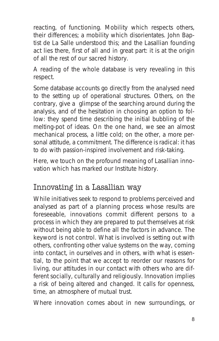reacting, of functioning. Mobility which respects others, their differences; a mobility which disorientates. John Baptist de La Salle understood this; and the Lasallian founding act lies there, first of all and in great part: it is at the origin of all the rest of our sacred history.

A reading of the whole database is very revealing in this respect.

Some database accounts go directly from the analysed need to the setting up of operational structures. Others, on the contrary, give a glimpse of the searching around during the analysis, and of the hesitation in choosing an option to follow: they spend time describing the initial bubbling of the melting-pot of ideas. On the one hand, we see an almost mechanical process, a little cold; on the other, a more personal attitude, a commitment. The difference is radical: it has to do with passion-inspired involvement and risk-taking.

Here, we touch on the profound meaning of Lasallian innovation which has marked our Institute history.

#### Innovating in a Lasallian way

While initiatives seek to respond to problems perceived and analysed as part of a planning process whose results are foreseeable, innovations commit different persons to a process in which they are prepared to put themselves at risk without being able to define all the factors in advance. The keyword is not control. What is involved is setting out with others, confronting other value systems on the way, coming into contact, in ourselves and in others, with what is essential, to the point that we accept to reorder our reasons for living, our attitudes in our contact with others who are different socially, culturally and religiously. Innovation implies a risk of being altered and changed. It calls for openness, time, an atmosphere of mutual trust.

Where innovation comes about in new surroundings, or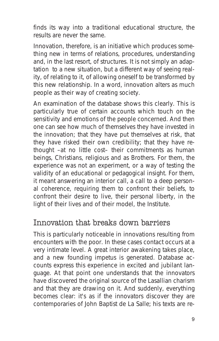finds its way into a traditional educational structure, the results are never the same.

Innovation, therefore, is an initiative which produces something new in terms of relations, procedures, understanding and, in the last resort, of structures. It is not simply an adaptation to a new situation, but a different way of seeing reality, of relating to it, of allowing oneself to be transformed by this new relationship. In a word, innovation alters as much people as their way of creating society.

An examination of the database shows this clearly. This is particularly true of certain accounts which touch on the sensitivity and emotions of the people concerned. And then one can see how much of themselves they have invested in the innovation; that they have put themselves at risk, that they have risked their own credibility; that they have rethought –at no little cost– their commitments as human beings, Christians, religious and as Brothers. For them, the experience was not an experiment, or a way of testing the validity of an educational or pedagogical insight. For them, it meant answering an interior call, a call to a deep personal coherence, requiring them to confront their beliefs, to confront their desire to live, their personal liberty, in the light of their lives and of their model, the Institute.

#### Innovation that breaks down barriers

This is particularly noticeable in innovations resulting from encounters with the poor. In these cases contact occurs at a very intimate level. A great interior awakening takes place, and a new founding impetus is generated. Database accounts express this experience in excited and jubilant language. At that point one understands that the innovators have discovered the original source of the Lasallian charism and that they are drawing on it. And suddenly, everything becomes clear: it's as if the innovators discover they are contemporaries of John Baptist de La Salle; his texts are re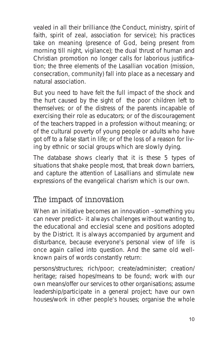vealed in all their brilliance (the Conduct, ministry, spirit of faith, spirit of zeal, association for service); his practices take on meaning (presence of God, being present from morning till night, vigilance); the dual thrust of human and Christian promotion no longer calls for laborious justification; the three elements of the Lasallian vocation (mission, consecration, community) fall into place as a necessary and natural association.

But you need to have felt the full impact of the shock and the hurt caused by the sight of the poor children left to themselves; or of the distress of the parents incapable of exercising their role as educators; or of the discouragement of the teachers trapped in a profession without meaning; or of the cultural poverty of young people or adults who have got off to a false start in life; or of the loss of a reason for living by ethnic or social groups which are slowly dying.

The database shows clearly that it is these 5 types of situations that shake people most, that break down barriers, and capture the attention of Lasallians and stimulate new expressions of the evangelical charism which is our own.

#### The impact of innovation

When an initiative becomes an innovation –something you can never predict– it always challenges without wanting to, the educational and ecclesial scene and positions adopted by the District. It is always accompanied by argument and disturbance, because everyone's personal view of life is once again called into question. And the same old wellknown pairs of words constantly return:

persons/structures; rich/poor; create/administer; creation/ heritage; raised hopes/means to be found; work with our own means/offer our services to other organisations; assume leadership/participate in a general project; have our own houses/work in other people's houses; organise the whole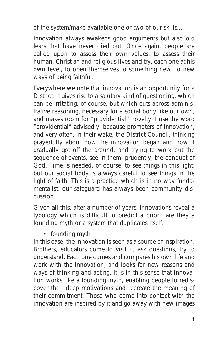of the system/make available one or two of our skills...

Innovation always awakens good arguments but also old fears that have never died out. Once again, people are called upon to assess their own values, to assess their human, Christian and religious lives and try, each one at his own level, to open themselves to something new, to new ways of being faithful.

Everywhere we note that innovation is an opportunity for a District. It gives rise to a salutary kind of questioning, which can be irritating, of course, but which cuts across administrative reasoning, necessary for a social body like our own, and makes room for "providential" novelty. I use the word "providential" advisedly, because promoters of innovation, and very often, in their wake, the District Council, thinking prayerfully about how the innovation began and how it gradually got off the ground, and trying to work out the sequence of events, see in them, prudently, the conduct of God. Time is needed, of course, to see things in this light; but our social body is always careful to see things in the light of faith. This is a practice which is in no way fundamentalist: our safeguard has always been community discussion.

Given all this, after a number of years, innovations reveal a typology which is difficult to predict a priori: are they a founding myth or a system that duplicates itself.

• founding myth

In this case, the innovation is seen as a source of inspiration. Brothers, educators come to visit it, ask questions, try to understand. Each one comes and compares his own life and work with the innovation, and looks for new reasons and ways of thinking and acting. It is in this sense that innovation works like a founding myth, enabling people to rediscover their deep motivations and recreate the meaning of their commitment. Those who come into contact with the innovation are inspired by it and go away with new images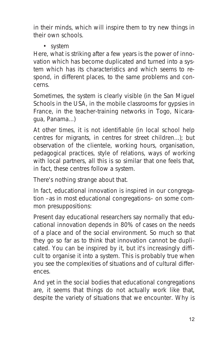in their minds, which will inspire them to try new things in their own schools.

• system

Here, what is striking after a few years is the power of innovation which has become duplicated and turned into a system which has its characteristics and which seems to respond, in different places, to the same problems and concerns.

Sometimes, the system is clearly visible (in the San Miguel Schools in the USA, in the mobile classrooms for gypsies in France, in the teacher-training networks in Togo, Nicaragua, Panama...)

At other times, it is not identifiable (in local school help centres for migrants, in centres for street children...); but observation of the clientele, working hours, organisation, pedagogical practices, style of relations, ways of working with local partners, all this is so similar that one feels that, in fact, these centres follow a system.

There's nothing strange about that.

In fact, educational innovation is inspired in our congregation –as in most educational congregations– on some common presuppositions:

Present day educational researchers say normally that educational innovation depends in 80% of cases on the needs of a place and of the social environment. So much so that they go so far as to think that innovation cannot be duplicated. You can be inspired by it, but it's increasingly difficult to organise it into a system. This is probably true when you see the complexities of situations and of cultural differences.

And yet in the social bodies that educational congregations are, it seems that things do not actually work like that, despite the variety of situations that we encounter. Why is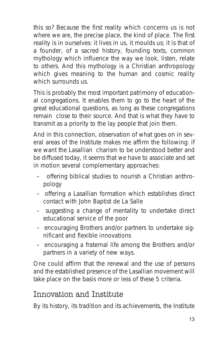this so? Because the first reality which concerns us is not where we are, the precise place, the kind of place. The first reality is in ourselves: it lives in us, it moulds us; it is that of a founder, of a sacred history, founding texts, common mythology which influence the way we look, listen, relate to others. And this mythology is a Christian anthropology which gives meaning to the human and cosmic reality which surrounds us.

This is probably the most important patrimony of educational congregations. It enables them to go to the heart of the great educational questions, as long as these congregations remain close to their source. And that is what they have to transmit as a priority to the lay people that join them.

And in this connection, observation of what goes on in several areas of the Institute makes me affirm the following: if we want the Lasallian charism to be understood better and be diffused today, it seems that we have to associate and set in motion several complementary approaches:

- offering biblical studies to nourish a Christian anthropology
- offering a Lasallian formation which establishes direct contact with John Baptist de La Salle
- suggesting a change of mentality to undertake direct educational service of the poor
- encouraging Brothers and/or partners to undertake significant and flexible innovations
- encouraging a fraternal life among the Brothers and/or partners in a variety of new ways.

One could affirm that the renewal and the use of persons and the established presence of the Lasallian movement will take place on the basis more or less of these 5 criteria.

#### Innovation and Institute

By its history, its tradition and its achievements, the Institute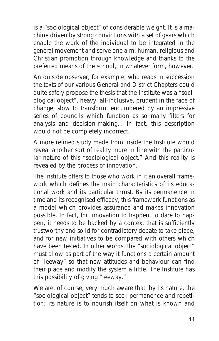is a "sociological object" of considerable weight. It is a machine driven by strong convictions with a set of gears which enable the work of the individual to be integrated in the general movement and serve one aim: human, religious and Christian promotion through knowledge and thanks to the preferred means of the school, in whatever form, however.

An outside observer, for example, who reads in succession the texts of our various General and District Chapters could quite safely propose the thesis that the Institute was a "sociological object", heavy, all-inclusive, prudent in the face of change, slow to transform, encumbered by an impressive series of councils which function as so many filters for analysis and decision-making... In fact, this description would not be completely incorrect.

A more refined study made from inside the Institute would reveal another sort of reality more in line with the particular nature of this "sociological object." And this reality is revealed by the process of innovation.

The Institute offers to those who work in it an overall framework which defines the main characteristics of its educational work and its particular thrust. By its permanence in time and its recognised efficacy, this framework functions as a model which provides assurance and makes innovation possible. In fact, for innovation to happen, to dare to happen, it needs to be backed by a context that is sufficiently trustworthy and solid for contradictory debate to take place, and for new initiatives to be compared with others which have been tested. In other words, the "sociological object" must allow as part of the way it functions a certain amount of "leeway" so that new attitudes and behaviour can find their place and modify the system a little. The Institute has this possibility of giving "leeway."

We are, of course, very much aware that, by its nature, the "sociological object" tends to seek permanence and repetition; its nature is to nourish itself on what is known and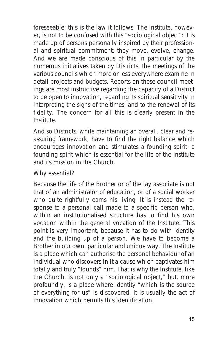foreseeable; this is the law it follows. The Institute, however, is not to be confused with this "sociological object": it is made up of persons personally inspired by their professional and spiritual commitment: they move, evolve, change. And we are made conscious of this in particular by the numerous initiatives taken by Districts, the meetings of the various councils which more or less everywhere examine in detail projects and budgets. Reports on these council meetings are most instructive regarding the capacity of a District to be open to innovation, regarding its spiritual sensitivity in interpreting the signs of the times, and to the renewal of its fidelity. The concern for all this is clearly present in the Institute.

And so Districts, while maintaining an overall, clear and reassuring framework, have to find the right balance which encourages innovation and stimulates a founding spirit: a founding spirit which is essential for the life of the Institute and its mission in the Church.

Why essential?

Because the life of the Brother or of the lay associate is not that of an administrator of education, or of a social worker who quite rightfully earns his living. It is instead the response to a personal call made to a specific person who, within an institutionalised structure has to find his own vocation within the general vocation of the Institute. This point is very important, because it has to do with identity and the building up of a person. We have to become a Brother in our own, particular and unique way. The Institute is a place which can authorise the personal behaviour of an individual who discovers in it a cause which captivates him totally and truly "founds" him. That is why the Institute, like the Church, is not only a "sociological object," but, more profoundly, is a place where identity "which is the source of everything for us" is discovered. It is usually the act of innovation which permits this identification.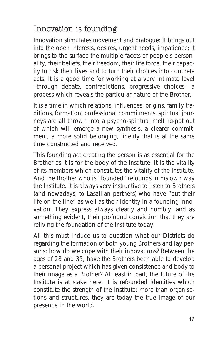## Innovation is founding

Innovation stimulates movement and dialogue: it brings out into the open interests, desires, urgent needs, impatience; it brings to the surface the multiple facets of people's personality, their beliefs, their freedom, their life force, their capacity to risk their lives and to turn their choices into concrete acts. It is a good time for working at a very intimate level –through debate, contradictions, progressive choices– a process which reveals the particular nature of the Brother.

It is a time in which relations, influences, origins, family traditions, formation, professional commitments, spiritual journeys are all thrown into a psycho-spiritual melting-pot out of which will emerge a new synthesis, a clearer commitment, a more solid belonging, fidelity that is at the same time constructed and received.

This founding act creating the person is as essential for the Brother as it is for the body of the Institute. It is the vitality of its members which constitutes the vitality of the Institute. And the Brother who is "founded" refounds in his own way the Institute. It is always very instructive to listen to Brothers (and nowadays, to Lasallian partners) who have "put their life on the line" as well as their identity in a founding innovation. They express always clearly and humbly, and as something evident, their profound conviction that they are reliving the foundation of the Institute today.

All this must induce us to question what our Districts do regarding the formation of both young Brothers and lay persons: how do we cope with their innovations? Between the ages of 28 and 35, have the Brothers been able to develop a personal project which has given consistence and body to their image as a Brother? At least in part, the future of the Institute is at stake here. It is refounded identities which constitute the strength of the Institute: more than organisations and structures, they are today the true image of our presence in the world.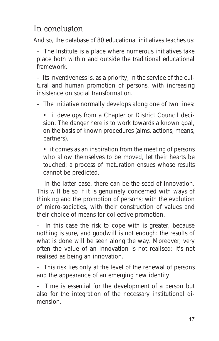#### In conclusion

And so, the database of 80 educational initiatives teaches us:

– The Institute is a place where numerous initiatives take place both within and outside the traditional educational framework

– Its inventiveness is, as a priority, in the service of the cultural and human promotion of persons, with increasing insistence on social transformation.

– The initiative normally develops along one of two lines:

• it develops from a Chapter or District Council decision. The danger here is to work towards a known goal, on the basis of known procedures (aims, actions, means, partners).

• it comes as an inspiration from the meeting of persons who allow themselves to be moved, let their hearts be touched; a process of maturation ensues whose results cannot be predicted.

– In the latter case, there can be the seed of innovation. This will be so if it is genuinely concerned with ways of thinking and the promotion of persons; with the evolution of micro-societies, with their construction of values and their choice of means for collective promotion.

In this case the risk to cope with is greater, because nothing is sure, and goodwill is not enough: the results of what is done will be seen along the way. Moreover, very often the value of an innovation is not realised: it's not realised as being an innovation.

– This risk lies only at the level of the renewal of persons and the appearance of an emerging new identity.

– Time is essential for the development of a person but also for the integration of the necessary institutional dimension.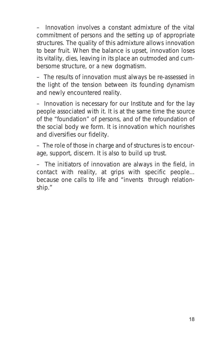– Innovation involves a constant admixture of the vital commitment of persons and the setting up of appropriate structures. The quality of this admixture allows innovation to bear fruit. When the balance is upset, innovation loses its vitality, dies, leaving in its place an outmoded and cumbersome structure, or a new dogmatism.

– The results of innovation must always be re-assessed in the light of the tension between its founding dynamism and newly encountered reality.

– Innovation is necessary for our Institute and for the lay people associated with it. It is at the same time the source of the "foundation" of persons, and of the refoundation of the social body we form. It is innovation which nourishes and diversifies our fidelity.

– The role of those in charge and of structures is to encourage, support, discern. It is also to build up trust.

– The initiators of innovation are always in the field, in contact with reality, at grips with specific people... because one calls to life and "invents through relationship."